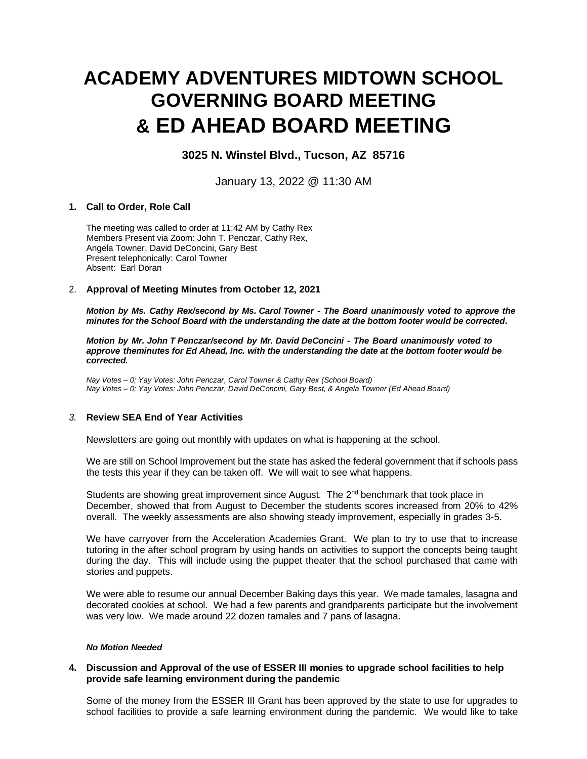# **ACADEMY ADVENTURES MIDTOWN SCHOOL GOVERNING BOARD MEETING & ED AHEAD BOARD MEETING**

# **3025 N. Winstel Blvd., Tucson, AZ 85716**

January 13, 2022 @ 11:30 AM

# **1. Call to Order, Role Call**

The meeting was called to order at 11:42 AM by Cathy Rex Members Present via Zoom: John T. Penczar, Cathy Rex, Angela Towner, David DeConcini, Gary Best Present telephonically: Carol Towner Absent: Earl Doran

### 2. **Approval of Meeting Minutes from October 12, 2021**

*Motion by Ms. Cathy Rex/second by Ms. Carol Towner - The Board unanimously voted to approve the minutes for the School Board with the understanding the date at the bottom footer would be corrected.*

*Motion by Mr. John T Penczar/second by Mr. David DeConcini - The Board unanimously voted to approve theminutes for Ed Ahead, Inc. with the understanding the date at the bottom footer would be corrected.*

*Nay Votes – 0; Yay Votes: John Penczar, Carol Towner & Cathy Rex (School Board) Nay Votes – 0; Yay Votes: John Penczar, David DeConcini, Gary Best, & Angela Towner (Ed Ahead Board)*

# *3.* **Review SEA End of Year Activities**

Newsletters are going out monthly with updates on what is happening at the school.

We are still on School Improvement but the state has asked the federal government that if schools pass the tests this year if they can be taken off. We will wait to see what happens.

Students are showing great improvement since August. The 2<sup>nd</sup> benchmark that took place in December, showed that from August to December the students scores increased from 20% to 42% overall. The weekly assessments are also showing steady improvement, especially in grades 3-5.

We have carryover from the Acceleration Academies Grant. We plan to try to use that to increase tutoring in the after school program by using hands on activities to support the concepts being taught during the day. This will include using the puppet theater that the school purchased that came with stories and puppets.

We were able to resume our annual December Baking days this year. We made tamales, lasagna and decorated cookies at school. We had a few parents and grandparents participate but the involvement was very low. We made around 22 dozen tamales and 7 pans of lasagna.

#### *No Motion Needed*

# **4. Discussion and Approval of the use of ESSER III monies to upgrade school facilities to help provide safe learning environment during the pandemic**

Some of the money from the ESSER III Grant has been approved by the state to use for upgrades to school facilities to provide a safe learning environment during the pandemic. We would like to take